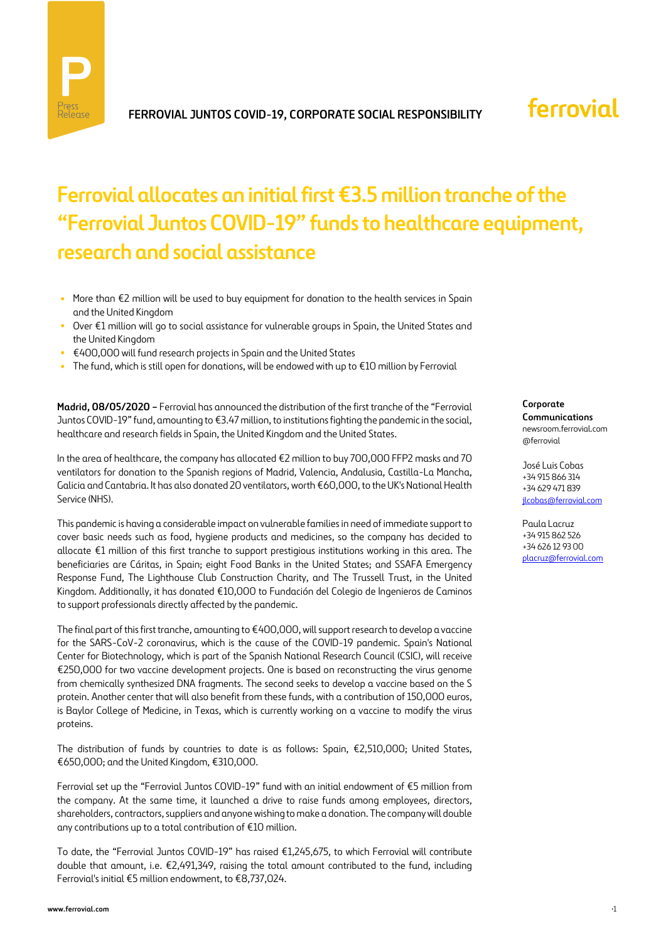

# ferrovial

# **Ferrovial allocates an initial first €3.5 million tranche of the "Ferrovial Juntos COVID-19" funds to healthcare equipment, research and social assistance**

- **•** More than €2 million will be used to buy equipment for donation to the health services in Spain and the United Kingdom
- **•** Over €1 million will go to social assistance for vulnerable groups in Spain, the United States and the United Kingdom
- **•** €400,000 will fund research projects in Spain and the United States
- **•** The fund, which is still open for donations, will be endowed with up to €10 million by Ferrovial

**Madrid, 08/05/2020 –** Ferrovial has announced the distribution of the first tranche of the "Ferrovial Juntos COVID-19" fund, amounting to €3.47 million, to institutions fighting the pandemic in the social, healthcare and research fields in Spain, the United Kingdom and the United States.

In the area of healthcare, the company has allocated €2 million to buy 700,000 FFP2 masks and 70 ventilators for donation to the Spanish regions of Madrid, Valencia, Andalusia, Castilla-La Mancha, Galicia and Cantabria. It has also donated 20 ventilators, worth €60,000, to the UK's National Health Service (NHS).

This pandemic is having a considerable impact on vulnerable families in need of immediate support to cover basic needs such as food, hygiene products and medicines, so the company has decided to allocate €1 million of this first tranche to support prestigious institutions working in this area. The beneficiaries are Cáritas, in Spain; eight Food Banks in the United States; and SSAFA Emergency Response Fund, The Lighthouse Club Construction Charity, and The Trussell Trust, in the United Kingdom. Additionally, it has donated €10,000 to Fundación del Colegio de Ingenieros de Caminos to support professionals directly affected by the pandemic.

The final part of this first tranche, amounting to €400,000, will support research to develop a vaccine for the SARS-CoV-2 coronavirus, which is the cause of the COVID-19 pandemic. Spain's National Center for Biotechnology, which is part of the Spanish National Research Council (CSIC), will receive €250,000 for two vaccine development projects. One is based on reconstructing the virus genome from chemically synthesized DNA fragments. The second seeks to develop a vaccine based on the S protein. Another center that will also benefit from these funds, with a contribution of 150,000 euros, is Baylor College of Medicine, in Texas, which is currently working on a vaccine to modify the virus proteins.

The distribution of funds by countries to date is as follows: Spain, €2,510,000; United States, €650,000; and the United Kingdom, €310,000.

Ferrovial set up the "Ferrovial Juntos COVID-19" fund with an initial endowment of €5 million from the company. At the same time, it launched a drive to raise funds among employees, directors, shareholders, contractors, suppliers and anyone wishing to make a donation. The company will double any contributions up to a total contribution of €10 million.

To date, the "Ferrovial Juntos COVID-19" has raised €1,245,675, to which Ferrovial will contribute double that amount, i.e. €2,491,349, raising the total amount contributed to the fund, including Ferrovial's initial €5 million endowment, to €8,737,024.

**Corporate Communications**

newsroom.ferrovial.com @ferrovial

José Luis Cobas +34 915 866 314 +34 629 471 839 [jlcobas@ferrovial.com](mailto:jlcobas@ferrovial.com)

Paula Lacruz +34 915 862 526 +34 626 12 93 00 [placruz@ferrovial.com](mailto:placruz@ferrovial.com)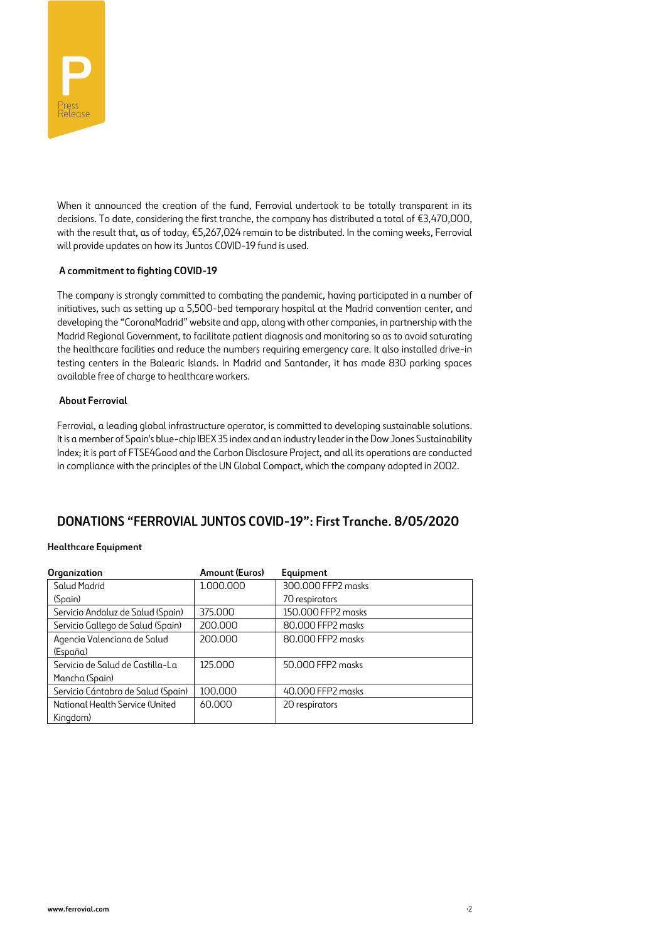

When it announced the creation of the fund, Ferrovial undertook to be totally transparent in its decisions. To date, considering the first tranche, the company has distributed a total of €3,470,000, with the result that, as of today, €5,267,024 remain to be distributed. In the coming weeks, Ferrovial will provide updates on how its Juntos COVID-19 fund is used.

## **A commitment to fighting COVID-19**

The company is strongly committed to combating the pandemic, having participated in a number of initiatives, such as setting up a 5,500-bed temporary hospital at the Madrid convention center, and developing the "CoronaMadrid" website and app, along with other companies, in partnership with the Madrid Regional Government, to facilitate patient diagnosis and monitoring so as to avoid saturating the healthcare facilities and reduce the numbers requiring emergency care. It also installed drive-in testing centers in the Balearic Islands. In Madrid and Santander, it has made 830 parking spaces available free of charge to healthcare workers.

### **About Ferrovial**

Ferrovial, a leading global infrastructure operator, is committed to developing sustainable solutions. It is a member of Spain's blue-chip IBEX 35 index and an industry leader in the Dow Jones Sustainability Index; it is part of FTSE4Good and the Carbon Disclosure Project, and all its operations are conducted in compliance with the principles of the UN Global Compact, which the company adopted in 2002.

## **DONATIONS "FERROVIAL JUNTOS COVID-19": First Tranche. 8/05/2020**

### **Healthcare Equipment**

| Organization                       | Amount (Euros) | Equipment          |
|------------------------------------|----------------|--------------------|
| Salud Madrid                       | 1.000.000      | 300.000 FFP2 masks |
| (Spain)                            |                | 70 respirators     |
| Servicio Andaluz de Salud (Spain)  | 375.000        | 150.000 FFP2 masks |
| Servicio Gallego de Salud (Spain)  | 200.000        | 80.000 FFP2 masks  |
| Agencia Valenciana de Salud        | 200,000        | 80.000 FFP2 masks  |
| (España)                           |                |                    |
| Servicio de Salud de Castilla-La   | 125.000        | 50.000 FFP2 masks  |
| Mancha (Spain)                     |                |                    |
| Servicio Cántabro de Salud (Spain) | 100.000        | 40.000 FFP2 masks  |
| National Health Service (United    | 60.000         | 20 respirators     |
| Kingdom)                           |                |                    |